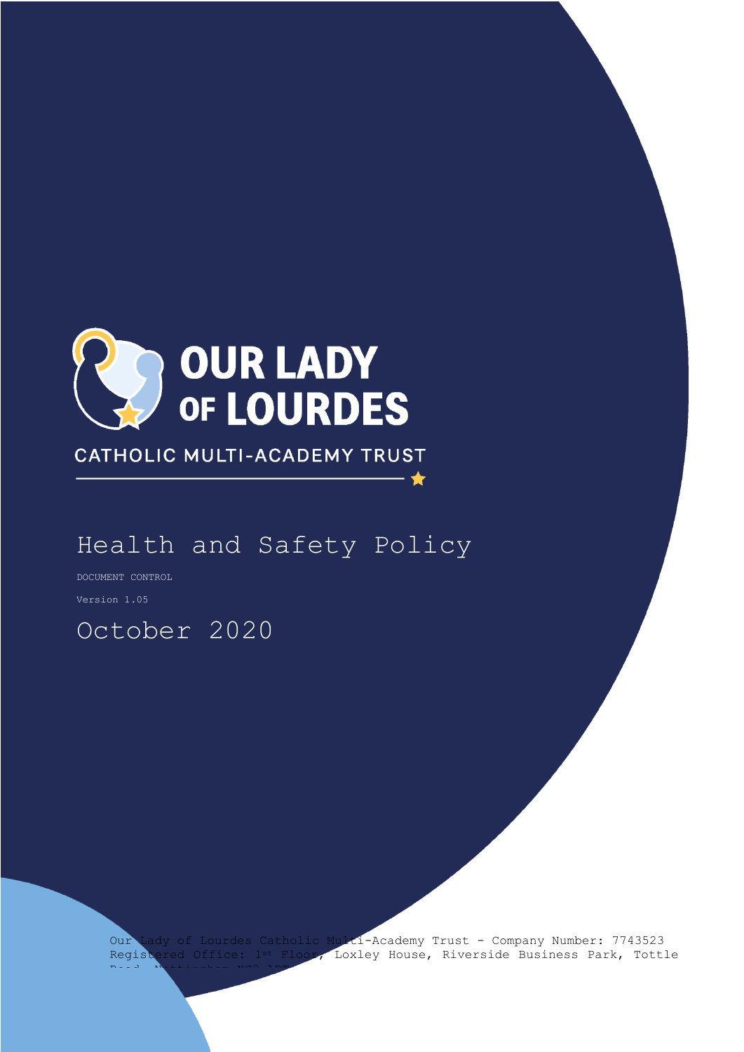

CATHOLIC MULTI-ACADEMY TRUST

# Health and Safety Policy

DOCUMENT CONTROL

Version 1.05

# October 2020

Our Lady of Lourdes Catholic Multi-Academy Trust - Company Number: 7743523 Registered Office: 1st Floor, Loxley House, Riverside Business Park, Tottle Road, Nottingham NG2 1RT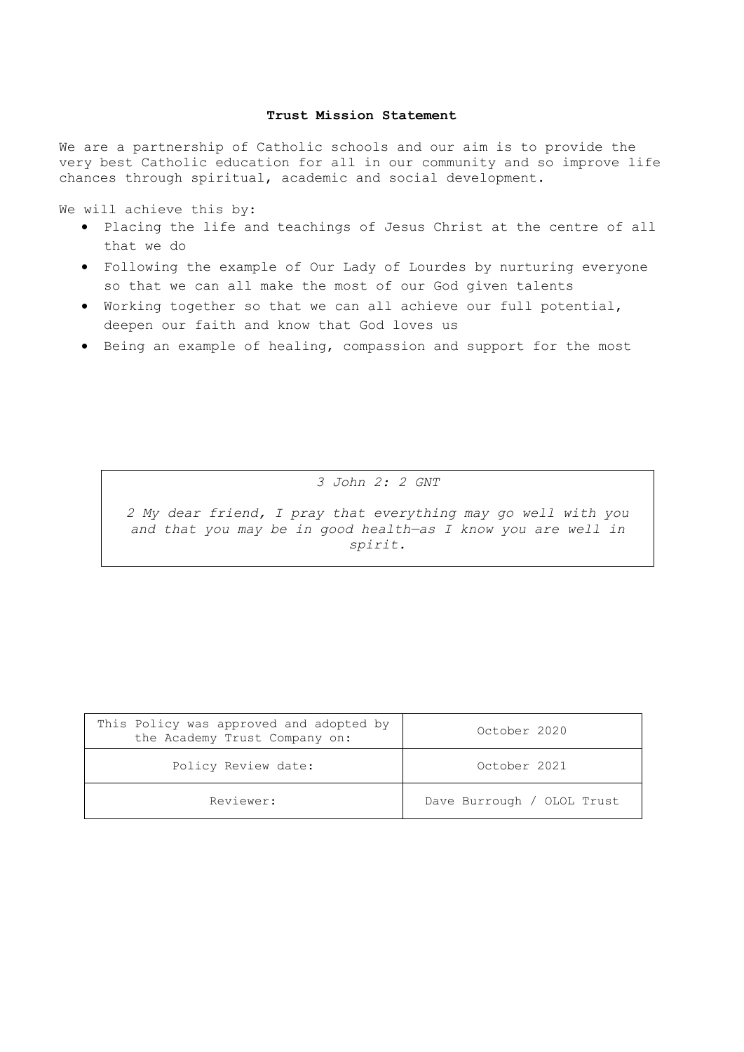#### **Trust Mission Statement**

We are a partnership of Catholic schools and our aim is to provide the very best Catholic education for all in our community and so improve life chances through spiritual, academic and social development.

We will achieve this by:

- Placing the life and teachings of Jesus Christ at the centre of all that we do
- Following the example of Our Lady of Lourdes by nurturing everyone so that we can all make the most of our God given talents
- Working together so that we can all achieve our full potential, deepen our faith and know that God loves us
- Being an example of healing, compassion and support for the most

*3 John 2: 2 GNT*

*2 My dear friend, I pray that everything may go well with you and that you may be in good health—as I know you are well in spirit.*

| This Policy was approved and adopted by<br>the Academy Trust Company on: | October 2020               |
|--------------------------------------------------------------------------|----------------------------|
| Policy Review date:                                                      | October 2021               |
| Reviewer:                                                                | Dave Burrough / OLOL Trust |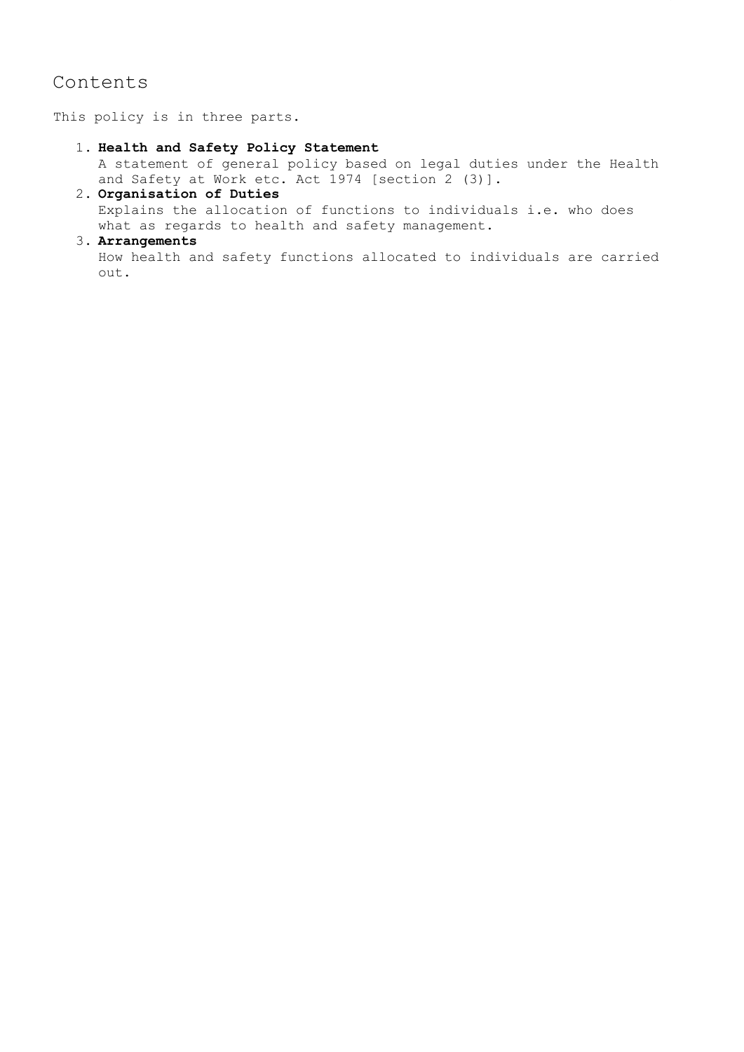# Contents

This policy is in three parts.

#### 1. **Health and Safety Policy Statement**

A statement of general policy based on legal duties under the Health and Safety at Work etc. Act 1974 [section 2 (3)].

# 2. **Organisation of Duties** Explains the allocation of functions to individuals i.e. who does what as regards to health and safety management.

# 3. **Arrangements**

How health and safety functions allocated to individuals are carried out.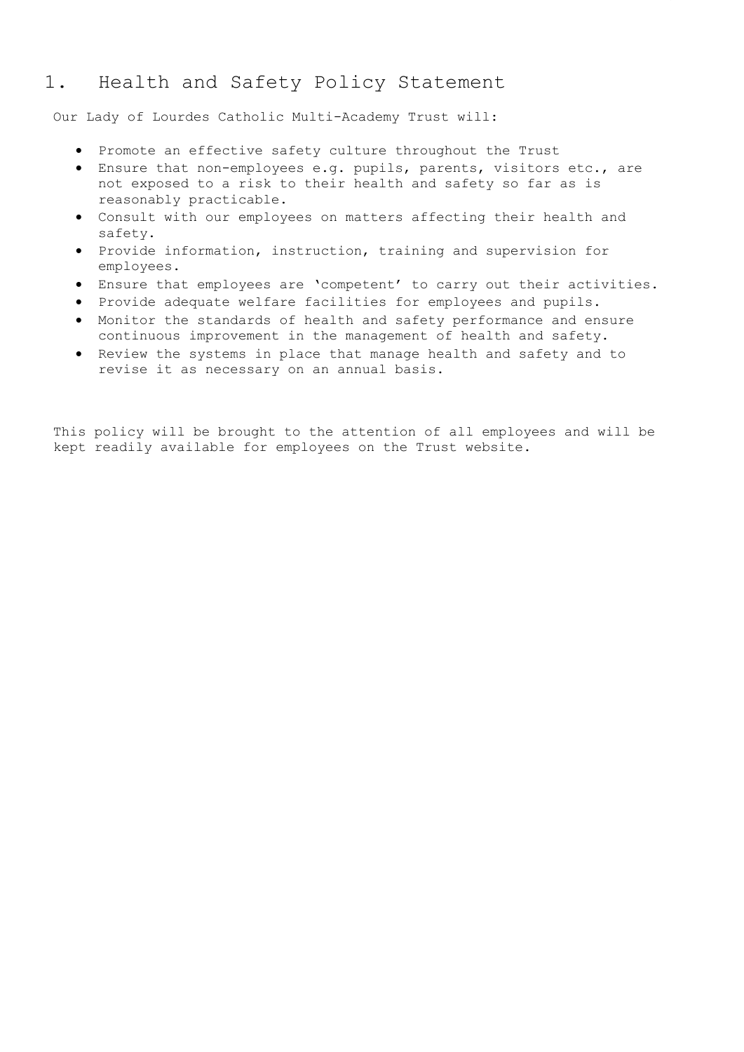# 1. Health and Safety Policy Statement

Our Lady of Lourdes Catholic Multi-Academy Trust will:

- Promote an effective safety culture throughout the Trust
- Ensure that non-employees e.g. pupils, parents, visitors etc., are not exposed to a risk to their health and safety so far as is reasonably practicable.
- Consult with our employees on matters affecting their health and safety.
- $\bullet$  Provide information, instruction, training and supervision for employees.
- Ensure that employees are 'competent' to carry out their activities.
- Provide adequate welfare facilities for employees and pupils.
- Monitor the standards of health and safety performance and ensure continuous improvement in the management of health and safety.
- Review the systems in place that manage health and safety and to revise it as necessary on an annual basis.

This policy will be brought to the attention of all employees and will be kept readily available for employees on the Trust website.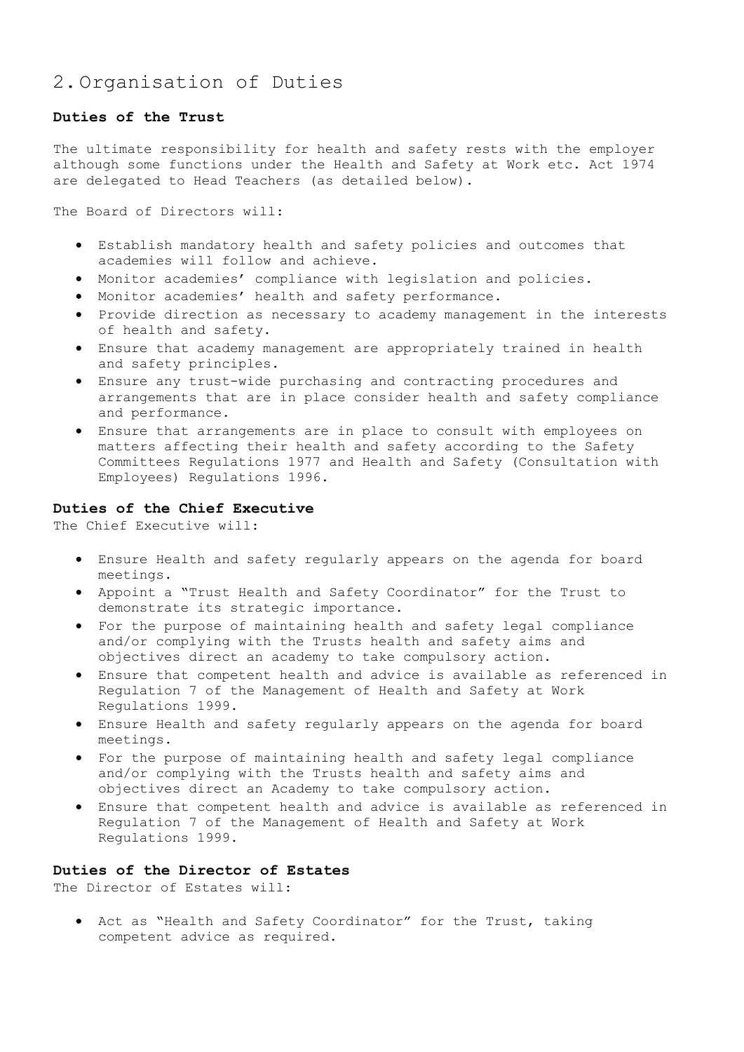# 2.Organisation of Duties

# **Duties of the Trust**

The ultimate responsibility for health and safety rests with the employer although some functions under the Health and Safety at Work etc. Act 1974 are delegated to Head Teachers (as detailed below).

The Board of Directors will:

- Establish mandatory health and safety policies and outcomes that academies will follow and achieve.
- Monitor academies' compliance with legislation and policies.
- Monitor academies' health and safety performance.
- Provide direction as necessary to academy management in the interests of health and safety.
- Ensure that academy management are appropriately trained in health and safety principles.
- Ensure any trust-wide purchasing and contracting procedures and arrangements that are in place consider health and safety compliance and performance.
- Ensure that arrangements are in place to consult with employees on matters affecting their health and safety according to the Safety Committees Regulations 1977 and Health and Safety (Consultation with Employees) Regulations 1996.

# **Duties of the Chief Executive**

The Chief Executive will:

- Ensure Health and safety regularly appears on the agenda for board meetings.
- Appoint a "Trust Health and Safety Coordinator" for the Trust to demonstrate its strategic importance.
- For the purpose of maintaining health and safety legal compliance and/or complying with the Trusts health and safety aims and objectives direct an academy to take compulsory action.
- Ensure that competent health and advice is available as referenced in Regulation 7 of the Management of Health and Safety at Work Regulations 1999.
- Ensure Health and safety regularly appears on the agenda for board meetings.
- For the purpose of maintaining health and safety legal compliance and/or complying with the Trusts health and safety aims and objectives direct an Academy to take compulsory action.
- Ensure that competent health and advice is available as referenced in Regulation 7 of the Management of Health and Safety at Work Regulations 1999.

# **Duties of the Director of Estates**

The Director of Estates will:

 Act as "Health and Safety Coordinator" for the Trust, taking competent advice as required.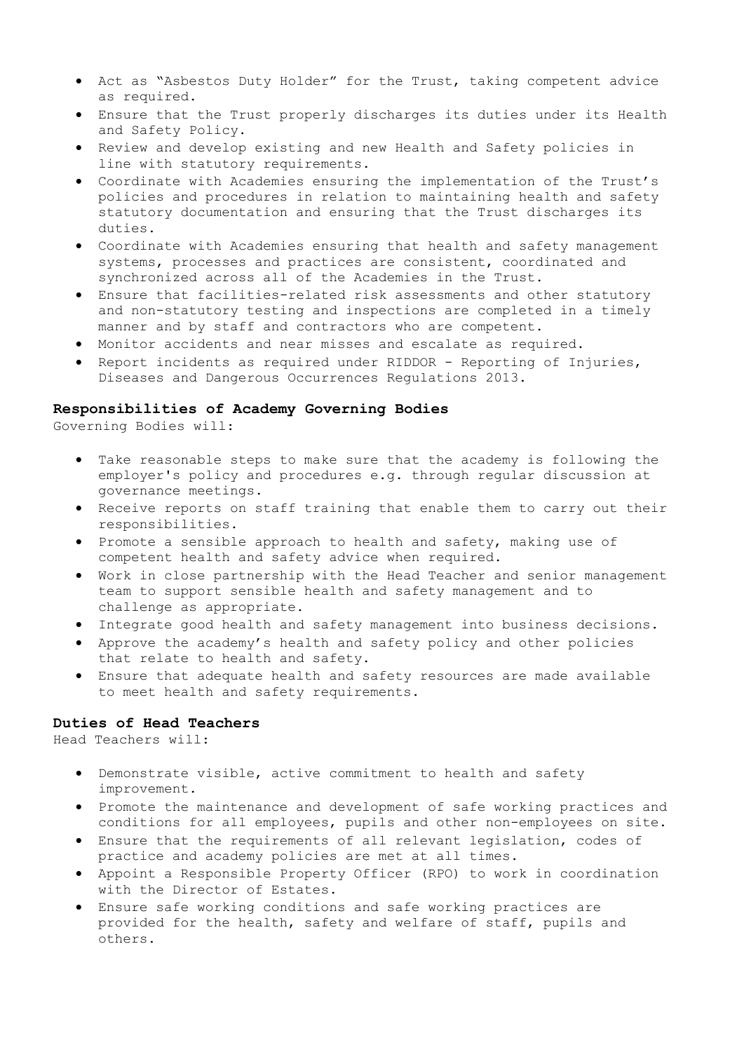- Act as "Asbestos Duty Holder" for the Trust, taking competent advice as required.
- Ensure that the Trust properly discharges its duties under its Health and Safety Policy.
- Review and develop existing and new Health and Safety policies in line with statutory requirements.
- Coordinate with Academies ensuring the implementation of the Trust's policies and procedures in relation to maintaining health and safety statutory documentation and ensuring that the Trust discharges its duties.
- Coordinate with Academies ensuring that health and safety management systems, processes and practices are consistent, coordinated and synchronized across all of the Academies in the Trust.
- Ensure that facilities-related risk assessments and other statutory and non-statutory testing and inspections are completed in a timely manner and by staff and contractors who are competent.
- Monitor accidents and near misses and escalate as required.
- Report incidents as required under RIDDOR Reporting of Injuries, Diseases and Dangerous Occurrences Regulations 2013.

# **Responsibilities of Academy Governing Bodies**

Governing Bodies will:

- Take reasonable steps to make sure that the academy is following the employer's policy and procedures e.g. through regular discussion at governance meetings.
- Receive reports on staff training that enable them to carry out their responsibilities.
- Promote a sensible approach to health and safety, making use of competent health and safety advice when required.
- Work in close partnership with the Head Teacher and senior management team to support sensible health and safety management and to challenge as appropriate.
- Integrate good health and safety management into business decisions.
- Approve the academy's health and safety policy and other policies that relate to health and safety.
- Ensure that adequate health and safety resources are made available to meet health and safety requirements.

# **Duties of Head Teachers**

Head Teachers will:

- Demonstrate visible, active commitment to health and safety improvement.
- Promote the maintenance and development of safe working practices and conditions for all employees, pupils and other non-employees on site.
- Ensure that the requirements of all relevant legislation, codes of practice and academy policies are met at all times.
- Appoint a Responsible Property Officer (RPO) to work in coordination with the Director of Estates.
- Ensure safe working conditions and safe working practices are provided for the health, safety and welfare of staff, pupils and others.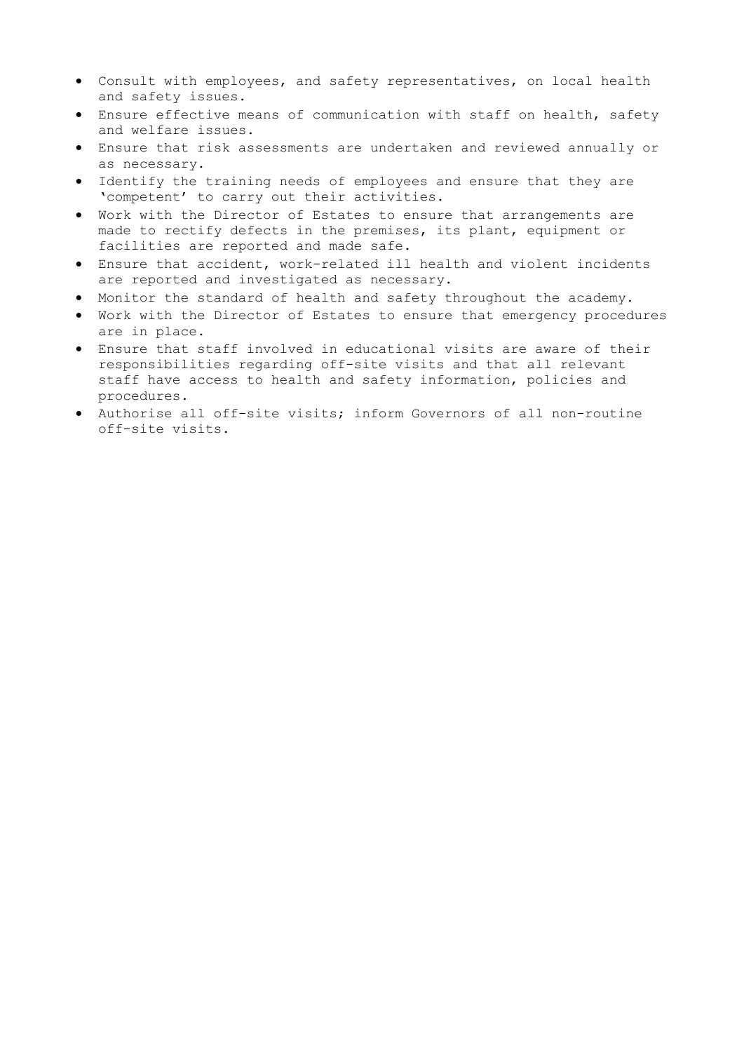- Consult with employees, and safety representatives, on local health and safety issues.
- Ensure effective means of communication with staff on health, safety and welfare issues.
- Ensure that risk assessments are undertaken and reviewed annually or as necessary.
- Identify the training needs of employees and ensure that they are 'competent' to carry out their activities.
- Work with the Director of Estates to ensure that arrangements are made to rectify defects in the premises, its plant, equipment or facilities are reported and made safe.
- Ensure that accident, work-related ill health and violent incidents are reported and investigated as necessary.
- Monitor the standard of health and safety throughout the academy.
- Work with the Director of Estates to ensure that emergency procedures are in place.
- Ensure that staff involved in educational visits are aware of their responsibilities regarding off-site visits and that all relevant staff have access to health and safety information, policies and procedures.
- Authorise all off-site visits; inform Governors of all non-routine off-site visits.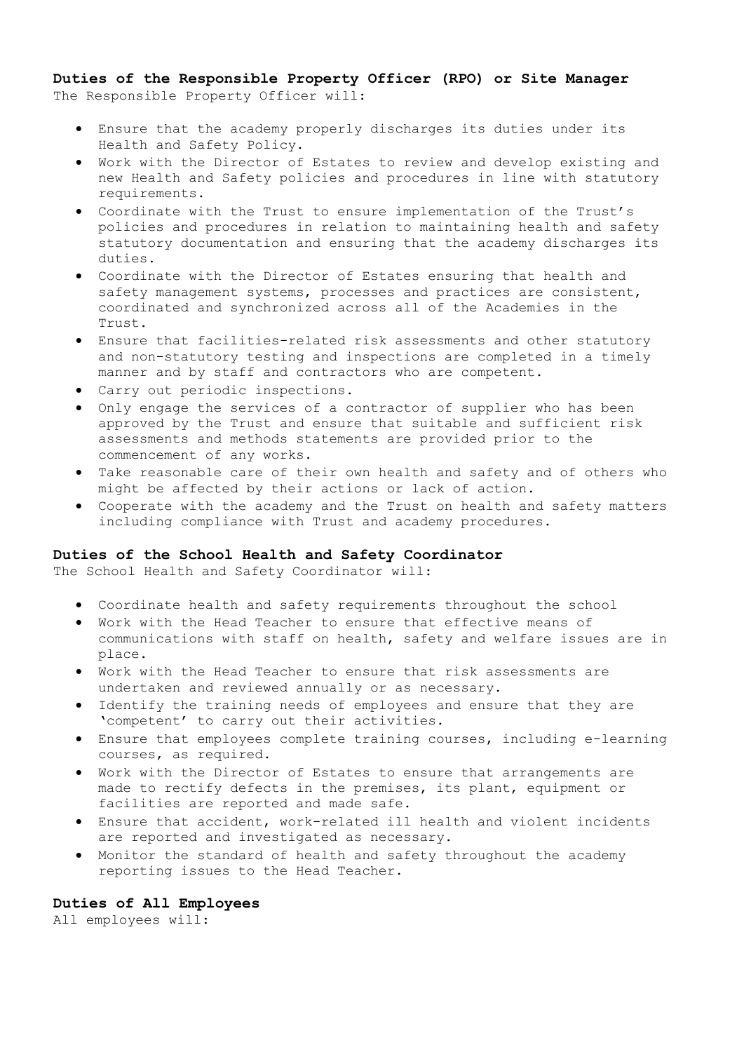**Duties of the Responsible Property Officer (RPO) or Site Manager** The Responsible Property Officer will:

- Ensure that the academy properly discharges its duties under its Health and Safety Policy.
- Work with the Director of Estates to review and develop existing and new Health and Safety policies and procedures in line with statutory requirements.
- Coordinate with the Trust to ensure implementation of the Trust's policies and procedures in relation to maintaining health and safety statutory documentation and ensuring that the academy discharges its duties.
- Coordinate with the Director of Estates ensuring that health and safety management systems, processes and practices are consistent, coordinated and synchronized across all of the Academies in the Trust.
- Ensure that facilities-related risk assessments and other statutory and non-statutory testing and inspections are completed in a timely manner and by staff and contractors who are competent.
- Carry out periodic inspections.
- Only engage the services of a contractor of supplier who has been approved by the Trust and ensure that suitable and sufficient risk assessments and methods statements are provided prior to the commencement of any works.
- Take reasonable care of their own health and safety and of others who might be affected by their actions or lack of action.
- Cooperate with the academy and the Trust on health and safety matters including compliance with Trust and academy procedures.

# **Duties of the School Health and Safety Coordinator**

The School Health and Safety Coordinator will:

- Coordinate health and safety requirements throughout the school
- Work with the Head Teacher to ensure that effective means of communications with staff on health, safety and welfare issues are in place.
- Work with the Head Teacher to ensure that risk assessments are undertaken and reviewed annually or as necessary.
- Identify the training needs of employees and ensure that they are 'competent' to carry out their activities.
- Ensure that employees complete training courses, including e-learning courses, as required.
- Work with the Director of Estates to ensure that arrangements are made to rectify defects in the premises, its plant, equipment or facilities are reported and made safe.
- Ensure that accident, work-related ill health and violent incidents are reported and investigated as necessary.
- Monitor the standard of health and safety throughout the academy reporting issues to the Head Teacher.

# **Duties of All Employees**

All employees will: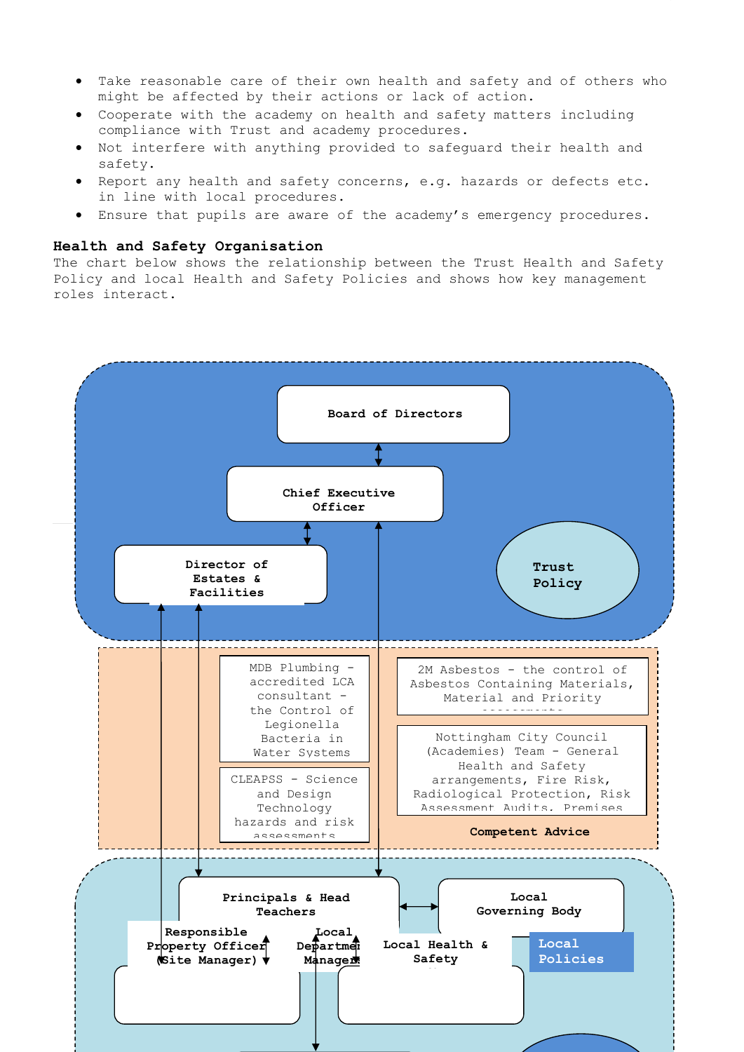- Take reasonable care of their own health and safety and of others who might be affected by their actions or lack of action.
- Cooperate with the academy on health and safety matters including compliance with Trust and academy procedures.
- Not interfere with anything provided to safeguard their health and safety.
- Report any health and safety concerns, e.g. hazards or defects etc. in line with local procedures.
- Ensure that pupils are aware of the academy's emergency procedures.

# **Health and Safety Organisation**

The chart below shows the relationship between the Trust Health and Safety Policy and local Health and Safety Policies and shows how key management roles interact.

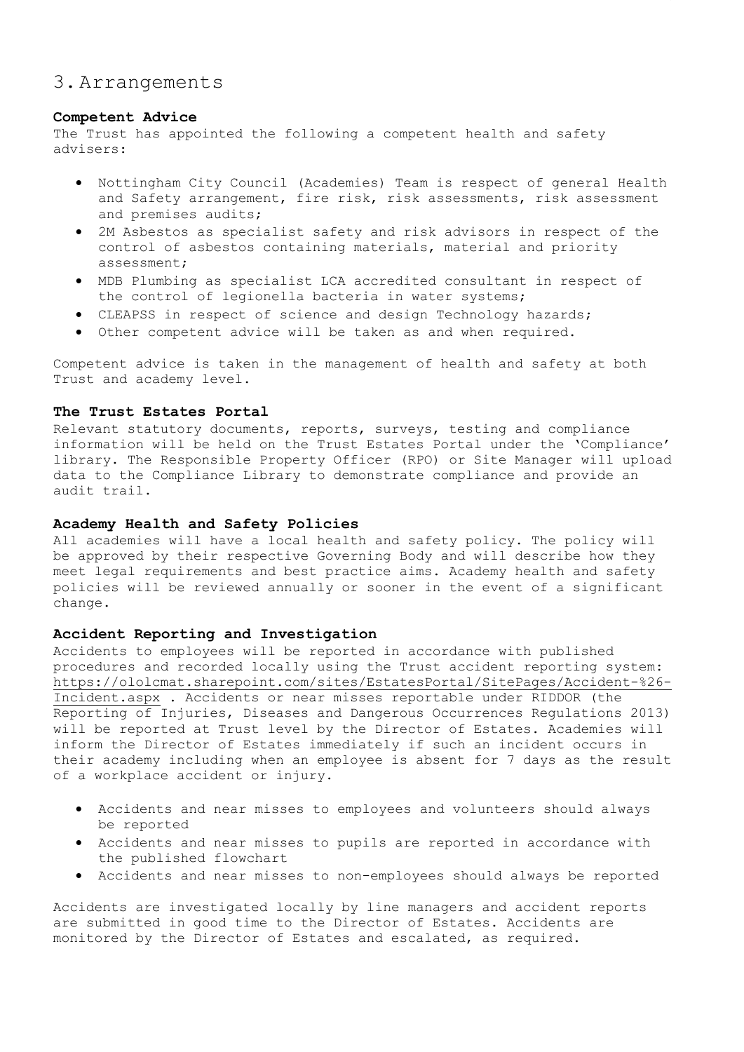# 3.Arrangements

# **Competent Advice**

The Trust has appointed the following a competent health and safety advisers:

- Nottingham City Council (Academies) Team is respect of general Health and Safety arrangement, fire risk, risk assessments, risk assessment and premises audits;
- 2M Asbestos as specialist safety and risk advisors in respect of the control of asbestos containing materials, material and priority assessment;
- MDB Plumbing as specialist LCA accredited consultant in respect of the control of legionella bacteria in water systems;
- CLEAPSS in respect of science and design Technology hazards;
- Other competent advice will be taken as and when required.

Competent advice is taken in the management of health and safety at both Trust and academy level.

# **The Trust Estates Portal**

Relevant statutory documents, reports, surveys, testing and compliance information will be held on the Trust Estates Portal under the 'Compliance' library. The Responsible Property Officer (RPO) or Site Manager will upload data to the Compliance Library to demonstrate compliance and provide an audit trail.

# **Academy Health and Safety Policies**

All academies will have a local health and safety policy. The policy will be approved by their respective Governing Body and will describe how they meet legal requirements and best practice aims. Academy health and safety policies will be reviewed annually or sooner in the event of a significant change.

# **Accident Reporting and Investigation**

Accidents to employees will be reported in accordance with published procedures and recorded locally using the Trust accident reporting system: [https://ololcmat.sharepoint.com/sites/EstatesPortal/SitePages/Accident-%26-](https://ololcmat.sharepoint.com/sites/EstatesPortal/SitePages/Accident-%26-Incident.aspx) [Incident.aspx](https://ololcmat.sharepoint.com/sites/EstatesPortal/SitePages/Accident-%26-Incident.aspx) . Accidents or near misses reportable under RIDDOR (the Reporting of Injuries, Diseases and Dangerous Occurrences Regulations 2013) will be reported at Trust level by the Director of Estates. Academies will inform the Director of Estates immediately if such an incident occurs in their academy including when an employee is absent for 7 days as the result of a workplace accident or injury.

- Accidents and near misses to employees and volunteers should always be reported
- Accidents and near misses to pupils are reported in accordance with the published flowchart
- Accidents and near misses to non-employees should always be reported

Accidents are investigated locally by line managers and accident reports are submitted in good time to the Director of Estates. Accidents are monitored by the Director of Estates and escalated, as required.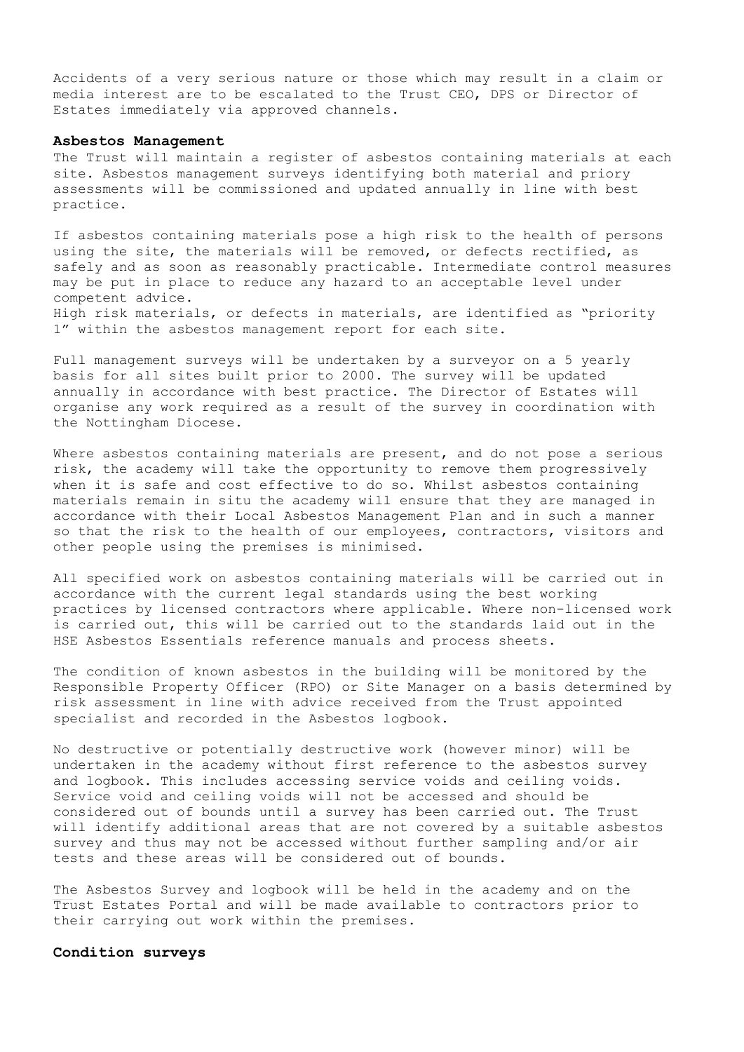Accidents of a very serious nature or those which may result in a claim or media interest are to be escalated to the Trust CEO, DPS or Director of Estates immediately via approved channels.

#### **Asbestos Management**

The Trust will maintain a register of asbestos containing materials at each site. Asbestos management surveys identifying both material and priory assessments will be commissioned and updated annually in line with best practice.

If asbestos containing materials pose a high risk to the health of persons using the site, the materials will be removed, or defects rectified, as safely and as soon as reasonably practicable. Intermediate control measures may be put in place to reduce any hazard to an acceptable level under competent advice. High risk materials, or defects in materials, are identified as "priority 1" within the asbestos management report for each site.

Full management surveys will be undertaken by a surveyor on a 5 yearly basis for all sites built prior to 2000. The survey will be updated annually in accordance with best practice. The Director of Estates will organise any work required as a result of the survey in coordination with the Nottingham Diocese.

Where asbestos containing materials are present, and do not pose a serious risk, the academy will take the opportunity to remove them progressively when it is safe and cost effective to do so. Whilst asbestos containing materials remain in situ the academy will ensure that they are managed in accordance with their Local Asbestos Management Plan and in such a manner so that the risk to the health of our employees, contractors, visitors and other people using the premises is minimised.

All specified work on asbestos containing materials will be carried out in accordance with the current legal standards using the best working practices by licensed contractors where applicable. Where non-licensed work is carried out, this will be carried out to the standards laid out in the HSE Asbestos Essentials reference manuals and process sheets.

The condition of known asbestos in the building will be monitored by the Responsible Property Officer (RPO) or Site Manager on a basis determined by risk assessment in line with advice received from the Trust appointed specialist and recorded in the Asbestos logbook.

No destructive or potentially destructive work (however minor) will be undertaken in the academy without first reference to the asbestos survey and logbook. This includes accessing service voids and ceiling voids. Service void and ceiling voids will not be accessed and should be considered out of bounds until a survey has been carried out. The Trust will identify additional areas that are not covered by a suitable asbestos survey and thus may not be accessed without further sampling and/or air tests and these areas will be considered out of bounds.

The Asbestos Survey and logbook will be held in the academy and on the Trust Estates Portal and will be made available to contractors prior to their carrying out work within the premises.

#### **Condition surveys**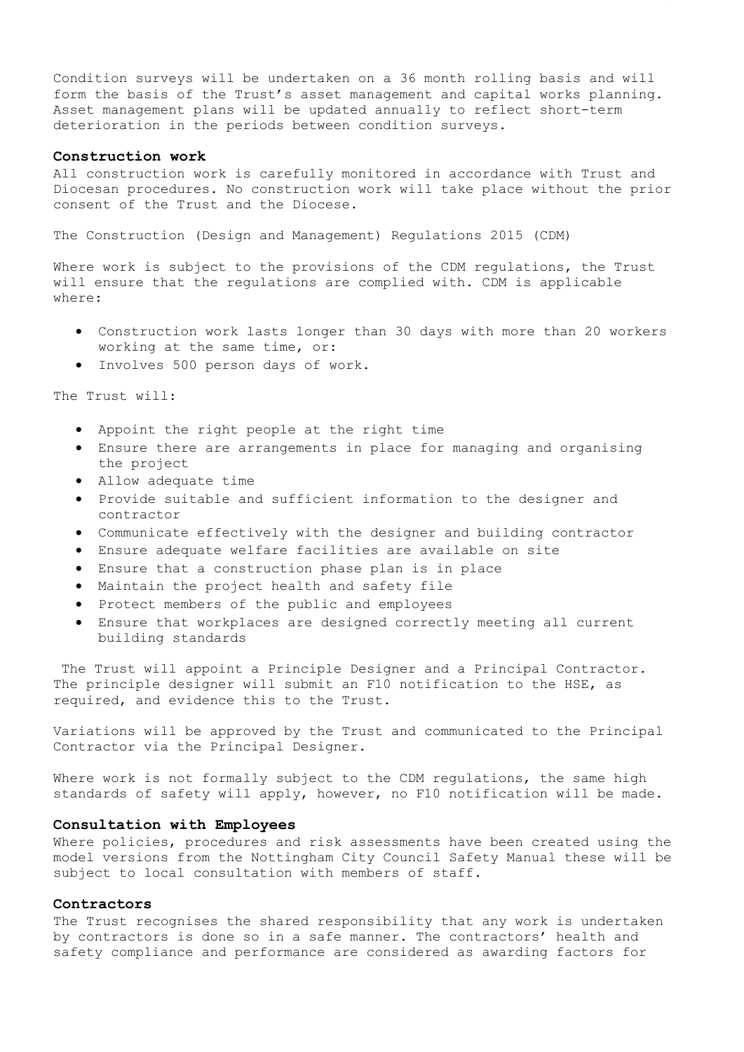Condition surveys will be undertaken on a 36 month rolling basis and will form the basis of the Trust's asset management and capital works planning. Asset management plans will be updated annually to reflect short-term deterioration in the periods between condition surveys.

## **Construction work**

All construction work is carefully monitored in accordance with Trust and Diocesan procedures. No construction work will take place without the prior consent of the Trust and the Diocese.

The Construction (Design and Management) Regulations 2015 (CDM)

Where work is subject to the provisions of the CDM regulations, the Trust will ensure that the regulations are complied with. CDM is applicable where:

- Construction work lasts longer than 30 days with more than 20 workers working at the same time, or:
- Involves 500 person days of work.

The Trust will:

- Appoint the right people at the right time
- Ensure there are arrangements in place for managing and organising the project
- Allow adequate time
- Provide suitable and sufficient information to the designer and contractor
- Communicate effectively with the designer and building contractor
- Ensure adequate welfare facilities are available on site
- Ensure that a construction phase plan is in place
- Maintain the project health and safety file
- Protect members of the public and employees
- Ensure that workplaces are designed correctly meeting all current building standards

The Trust will appoint a Principle Designer and a Principal Contractor. The principle designer will submit an F10 notification to the HSE, as required, and evidence this to the Trust.

Variations will be approved by the Trust and communicated to the Principal Contractor via the Principal Designer.

Where work is not formally subject to the CDM regulations, the same high standards of safety will apply, however, no F10 notification will be made.

#### **Consultation with Employees**

Where policies, procedures and risk assessments have been created using the model versions from the Nottingham City Council Safety Manual these will be subject to local consultation with members of staff.

#### **Contractors**

The Trust recognises the shared responsibility that any work is undertaken by contractors is done so in a safe manner. The contractors' health and safety compliance and performance are considered as awarding factors for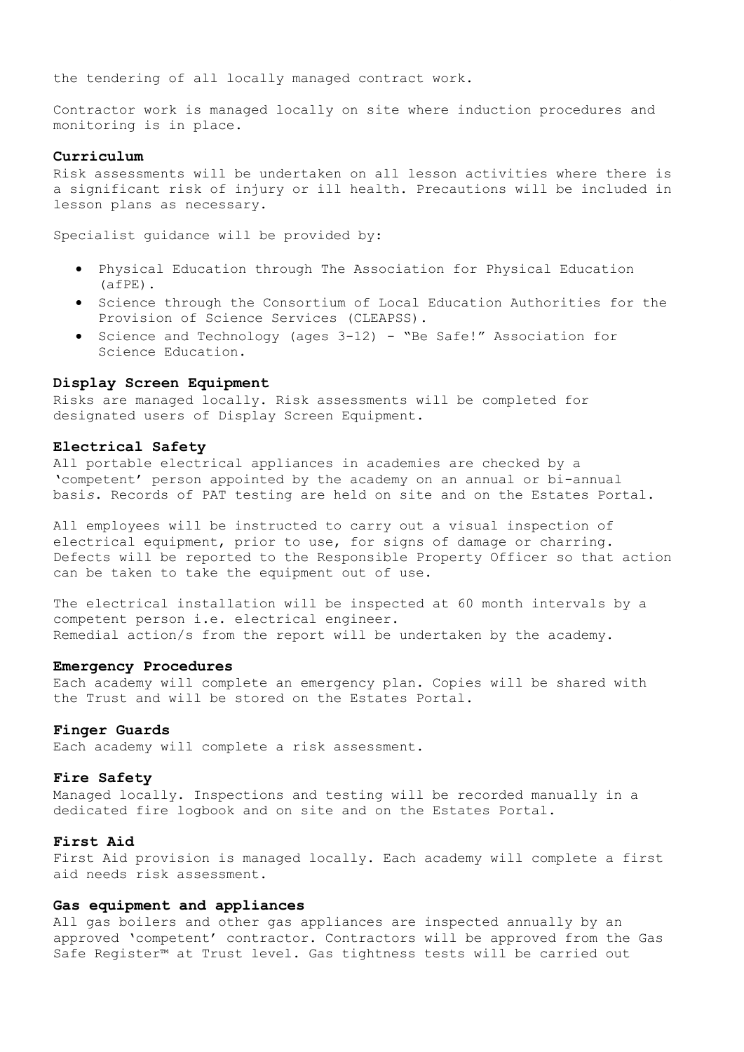the tendering of all locally managed contract work.

Contractor work is managed locally on site where induction procedures and monitoring is in place.

# **Curriculum**

Risk assessments will be undertaken on all lesson activities where there is a significant risk of injury or ill health. Precautions will be included in lesson plans as necessary.

Specialist guidance will be provided by:

- Physical Education through The Association for Physical Education (afPE).
- **•** Science through the Consortium of Local Education Authorities for the Provision of Science Services (CLEAPSS).
- Science and Technology (ages 3-12) "Be Safe!" Association for Science Education.

#### **Display Screen Equipment**

Risks are managed locally. Risk assessments will be completed for designated users of Display Screen Equipment.

#### **Electrical Safety**

All portable electrical appliances in academies are checked by a 'competent' person appointed by the academy on an annual or bi-annual basi*s*. Records of PAT testing are held on site and on the Estates Portal.

All employees will be instructed to carry out a visual inspection of electrical equipment, prior to use, for signs of damage or charring. Defects will be reported to the Responsible Property Officer so that action can be taken to take the equipment out of use.

The electrical installation will be inspected at 60 month intervals by a competent person i.e. electrical engineer. Remedial action/s from the report will be undertaken by the academy.

#### **Emergency Procedures**

Each academy will complete an emergency plan. Copies will be shared with the Trust and will be stored on the Estates Portal.

#### **Finger Guards**

Each academy will complete a risk assessment.

#### **Fire Safety**

Managed locally. Inspections and testing will be recorded manually in a dedicated fire logbook and on site and on the Estates Portal.

# **First Aid**

First Aid provision is managed locally. Each academy will complete a first aid needs risk assessment.

#### **Gas equipment and appliances**

All gas boilers and other gas appliances are inspected annually by an approved 'competent' contractor. Contractors will be approved from the Gas Safe Register™ at Trust level. Gas tightness tests will be carried out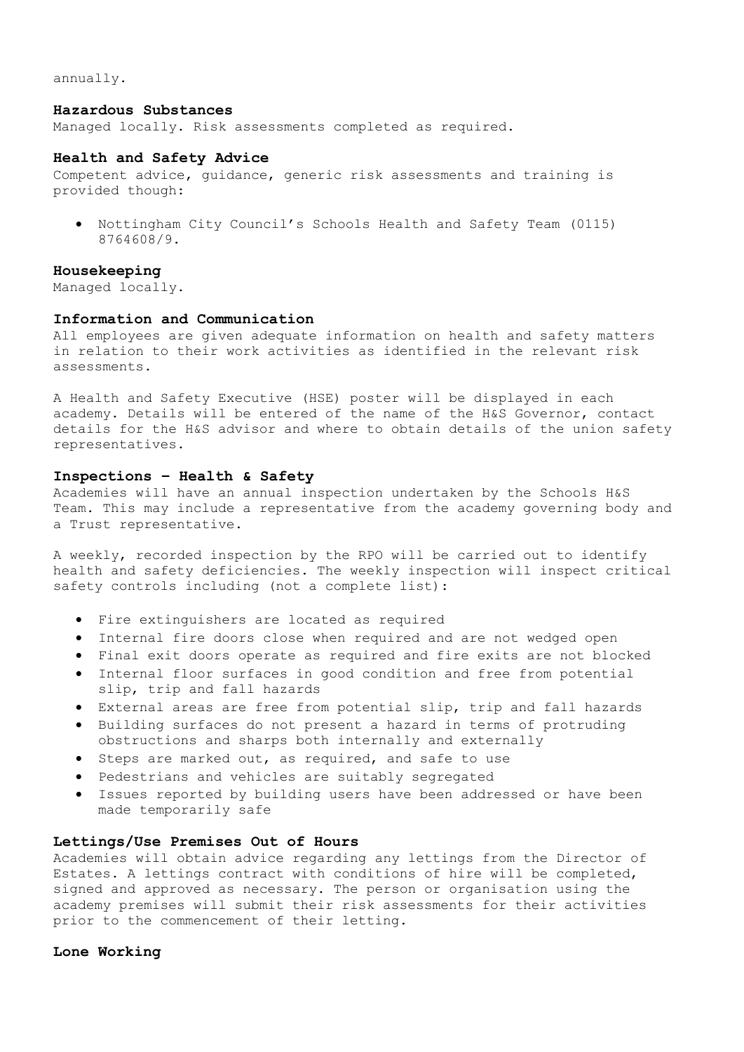annually.

#### **Hazardous Substances**

Managed locally. Risk assessments completed as required.

#### **Health and Safety Advice**

Competent advice, guidance, generic risk assessments and training is provided though:

 Nottingham City Council's Schools Health and Safety Team (0115) 8764608/9.

# **Housekeeping**

Managed locally.

#### **Information and Communication**

All employees are given adequate information on health and safety matters in relation to their work activities as identified in the relevant risk assessments.

A Health and Safety Executive (HSE) poster will be displayed in each academy. Details will be entered of the name of the H&S Governor, contact details for the H&S advisor and where to obtain details of the union safety representatives.

# **Inspections – Health & Safety**

Academies will have an annual inspection undertaken by the Schools H&S Team. This may include a representative from the academy governing body and a Trust representative.

A weekly, recorded inspection by the RPO will be carried out to identify health and safety deficiencies. The weekly inspection will inspect critical safety controls including (not a complete list):

- Fire extinguishers are located as required
- Internal fire doors close when required and are not wedged open
- Final exit doors operate as required and fire exits are not blocked
- Internal floor surfaces in good condition and free from potential slip, trip and fall hazards
- External areas are free from potential slip, trip and fall hazards
- Building surfaces do not present a hazard in terms of protruding obstructions and sharps both internally and externally
- Steps are marked out, as required, and safe to use
- Pedestrians and vehicles are suitably segregated
- Issues reported by building users have been addressed or have been made temporarily safe

# **Lettings/Use Premises Out of Hours**

Academies will obtain advice regarding any lettings from the Director of Estates. A lettings contract with conditions of hire will be completed, signed and approved as necessary. The person or organisation using the academy premises will submit their risk assessments for their activities prior to the commencement of their letting.

# **Lone Working**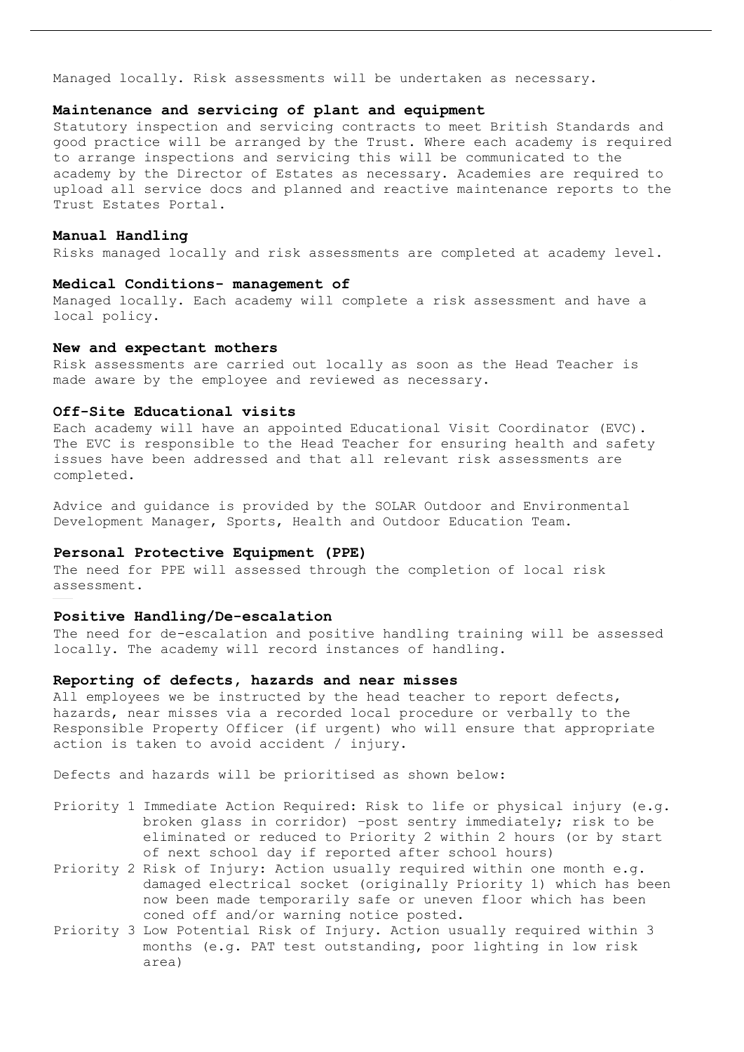Managed locally. Risk assessments will be undertaken as necessary.

#### **Maintenance and servicing of plant and equipment**

Statutory inspection and servicing contracts to meet British Standards and good practice will be arranged by the Trust. Where each academy is required to arrange inspections and servicing this will be communicated to the academy by the Director of Estates as necessary. Academies are required to upload all service docs and planned and reactive maintenance reports to the Trust Estates Portal.

#### **Manual Handling**

Risks managed locally and risk assessments are completed at academy level.

#### **Medical Conditions- management of**

Managed locally. Each academy will complete a risk assessment and have a local policy.

#### **New and expectant mothers**

Risk assessments are carried out locally as soon as the Head Teacher is made aware by the employee and reviewed as necessary.

#### **Off-Site Educational visits**

Each academy will have an appointed Educational Visit Coordinator (EVC). The EVC is responsible to the Head Teacher for ensuring health and safety issues have been addressed and that all relevant risk assessments are completed.

Advice and guidance is provided by the SOLAR Outdoor and Environmental Development Manager, Sports, Health and Outdoor Education Team.

# **Personal Protective Equipment (PPE)**

The need for PPE will assessed through the completion of local risk assessment.

#### **Positive Handling/De-escalation**

The need for de-escalation and positive handling training will be assessed locally. The academy will record instances of handling.

# **Reporting of defects, hazards and near misses**

All employees we be instructed by the head teacher to report defects, hazards, near misses via a recorded local procedure or verbally to the Responsible Property Officer (if urgent) who will ensure that appropriate action is taken to avoid accident / injury.

Defects and hazards will be prioritised as shown below:

- Priority 1 Immediate Action Required: Risk to life or physical injury (e.g. broken glass in corridor) –post sentry immediately; risk to be eliminated or reduced to Priority 2 within 2 hours (or by start of next school day if reported after school hours)
- Priority 2 Risk of Injury: Action usually required within one month e.g. damaged electrical socket (originally Priority 1) which has been now been made temporarily safe or uneven floor which has been coned off and/or warning notice posted.
- Priority 3 Low Potential Risk of Injury. Action usually required within 3 months (e.g. PAT test outstanding, poor lighting in low risk area)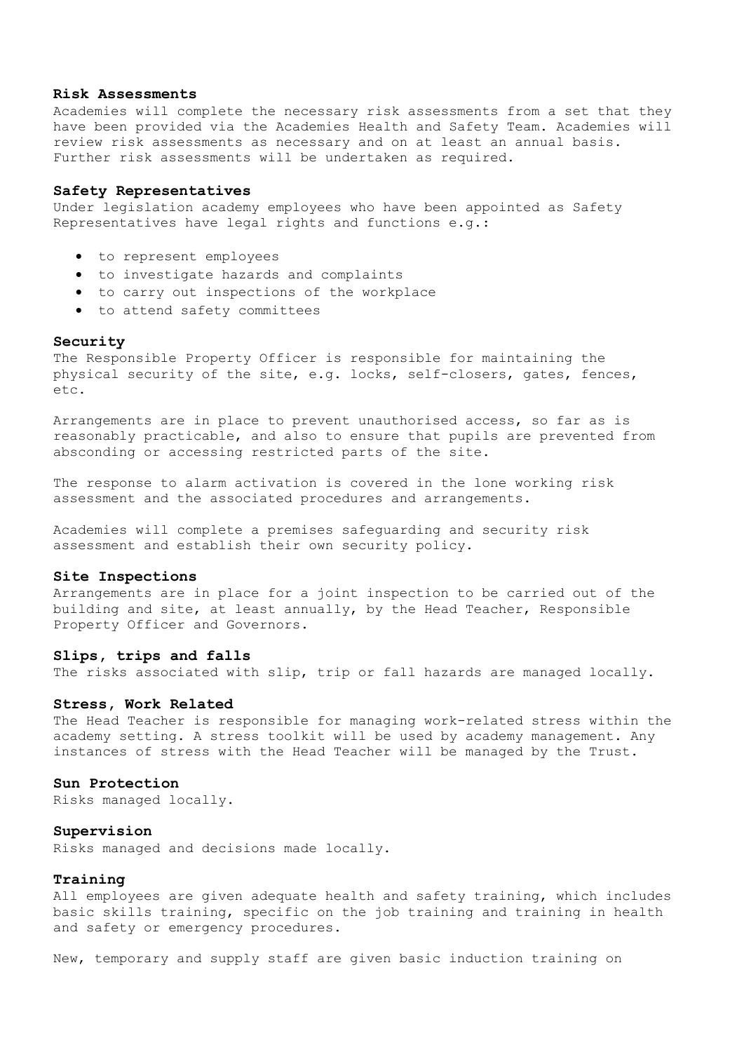#### **Risk Assessments**

Academies will complete the necessary risk assessments from a set that they have been provided via the Academies Health and Safety Team. Academies will review risk assessments as necessary and on at least an annual basis. Further risk assessments will be undertaken as required.

# **Safety Representatives**

Under legislation academy employees who have been appointed as Safety Representatives have legal rights and functions e.g.:

- to represent employees
- to investigate hazards and complaints
- to carry out inspections of the workplace
- to attend safety committees

#### **Security**

The Responsible Property Officer is responsible for maintaining the physical security of the site, e.g. locks, self-closers, gates, fences, etc.

Arrangements are in place to prevent unauthorised access, so far as is reasonably practicable, and also to ensure that pupils are prevented from absconding or accessing restricted parts of the site.

The response to alarm activation is covered in the lone working risk assessment and the associated procedures and arrangements.

Academies will complete a premises safeguarding and security risk assessment and establish their own security policy.

#### **Site Inspections**

Arrangements are in place for a joint inspection to be carried out of the building and site, at least annually, by the Head Teacher, Responsible Property Officer and Governors.

#### **Slips, trips and falls**

The risks associated with slip, trip or fall hazards are managed locally.

#### **Stress, Work Related**

The Head Teacher is responsible for managing work-related stress within the academy setting. A stress toolkit will be used by academy management. Any instances of stress with the Head Teacher will be managed by the Trust.

#### **Sun Protection**

Risks managed locally.

# **Supervision**

Risks managed and decisions made locally.

# **Training**

All employees are given adequate health and safety training, which includes basic skills training, specific on the job training and training in health and safety or emergency procedures.

New, temporary and supply staff are given basic induction training on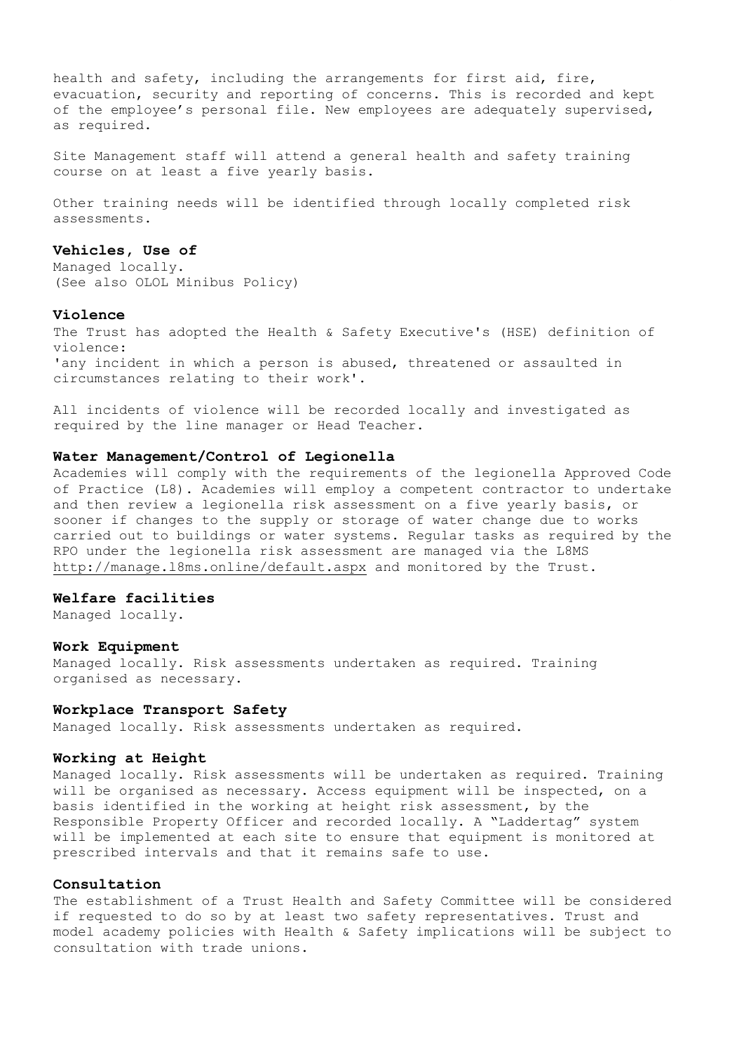health and safety, including the arrangements for first aid, fire, evacuation, security and reporting of concerns. This is recorded and kept of the employee's personal file. New employees are adequately supervised, as required.

Site Management staff will attend a general health and safety training course on at least a five yearly basis.

Other training needs will be identified through locally completed risk assessments.

## **Vehicles, Use of**

Managed locally. (See also OLOL Minibus Policy)

#### **Violence**

The Trust has adopted the Health & Safety Executive's (HSE) definition of violence: 'any incident in which a person is abused, threatened or assaulted in circumstances relating to their work'.

All incidents of violence will be recorded locally and investigated as required by the line manager or Head Teacher.

# **Water Management/Control of Legionella**

Academies will comply with the requirements of the legionella Approved Code of Practice (L8). Academies will employ a competent contractor to undertake and then review a legionella risk assessment on a five yearly basis, or sooner if changes to the supply or storage of water change due to works carried out to buildings or water systems. Regular tasks as required by the RPO under the legionella risk assessment are managed via the L8MS <http://manage.l8ms.online/default.aspx> and monitored by the Trust.

# **Welfare facilities**

Managed locally.

#### **Work Equipment**

Managed locally. Risk assessments undertaken as required. Training organised as necessary.

#### **Workplace Transport Safety**

Managed locally. Risk assessments undertaken as required.

#### **Working at Height**

Managed locally. Risk assessments will be undertaken as required. Training will be organised as necessary. Access equipment will be inspected, on a basis identified in the working at height risk assessment, by the Responsible Property Officer and recorded locally. A "Laddertag" system will be implemented at each site to ensure that equipment is monitored at prescribed intervals and that it remains safe to use.

#### **Consultation**

The establishment of a Trust Health and Safety Committee will be considered if requested to do so by at least two safety representatives. Trust and model academy policies with Health & Safety implications will be subject to consultation with trade unions.